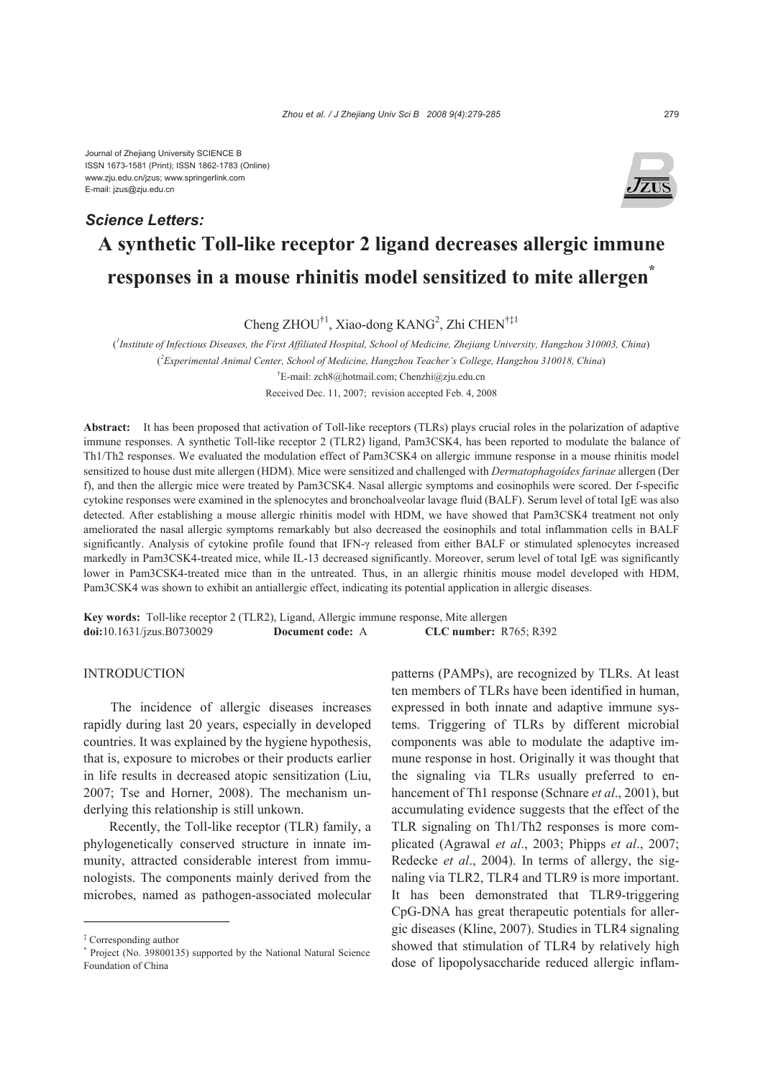*Science Letters:*



# **A synthetic Toll-like receptor 2 ligand decreases allergic immune responses in a mouse rhinitis model sensitized to mite allergen\***

Cheng ZHOU<sup>†1</sup>, Xiao-dong KANG<sup>2</sup>, Zhi CHEN<sup>†‡1</sup>

( *1 Institute of Infectious Diseases, the First Affiliated Hospital, School of Medicine, Zhejiang University, Hangzhou 310003, China*) ( *2 Experimental Animal Center, School of Medicine, Hangzhou Teacher's College, Hangzhou 310018, China*) † E-mail: zch8@hotmail.com; Chenzhi@zju.edu.cn Received Dec. 11, 2007; revision accepted Feb. 4, 2008

**Abstract:** It has been proposed that activation of Toll-like receptors (TLRs) plays crucial roles in the polarization of adaptive immune responses. A synthetic Toll-like receptor 2 (TLR2) ligand, Pam3CSK4, has been reported to modulate the balance of Th1/Th2 responses. We evaluated the modulation effect of Pam3CSK4 on allergic immune response in a mouse rhinitis model sensitized to house dust mite allergen (HDM). Mice were sensitized and challenged with *Dermatophagoides farinae* allergen (Der f), and then the allergic mice were treated by Pam3CSK4. Nasal allergic symptoms and eosinophils were scored. Der f-specific cytokine responses were examined in the splenocytes and bronchoalveolar lavage fluid (BALF). Serum level of total IgE was also detected. After establishing a mouse allergic rhinitis model with HDM, we have showed that Pam3CSK4 treatment not only ameliorated the nasal allergic symptoms remarkably but also decreased the eosinophils and total inflammation cells in BALF significantly. Analysis of cytokine profile found that IFN-γ released from either BALF or stimulated splenocytes increased markedly in Pam3CSK4-treated mice, while IL-13 decreased significantly. Moreover, serum level of total IgE was significantly lower in Pam3CSK4-treated mice than in the untreated. Thus, in an allergic rhinitis mouse model developed with HDM, Pam3CSK4 was shown to exhibit an antiallergic effect, indicating its potential application in allergic diseases.

**Key words:** Toll-like receptor 2 (TLR2), Ligand, Allergic immune response, Mite allergen **doi:**10.1631/jzus.B0730029 **Document code:** A **CLC number:** R765; R392

## INTRODUCTION

The incidence of allergic diseases increases rapidly during last 20 years, especially in developed countries. It was explained by the hygiene hypothesis, that is, exposure to microbes or their products earlier in life results in decreased atopic sensitization (Liu, 2007; Tse and Horner, 2008). The mechanism underlying this relationship is still unkown.

Recently, the Toll-like receptor (TLR) family, a phylogenetically conserved structure in innate immunity, attracted considerable interest from immunologists. The components mainly derived from the microbes, named as pathogen-associated molecular

patterns (PAMPs), are recognized by TLRs. At least ten members of TLRs have been identified in human, expressed in both innate and adaptive immune systems. Triggering of TLRs by different microbial components was able to modulate the adaptive immune response in host. Originally it was thought that the signaling via TLRs usually preferred to enhancement of Th1 response (Schnare *et al*., 2001), but accumulating evidence suggests that the effect of the TLR signaling on Th1/Th2 responses is more complicated (Agrawal *et al*., 2003; Phipps *et al*., 2007; Redecke *et al*., 2004). In terms of allergy, the signaling via TLR2, TLR4 and TLR9 is more important. It has been demonstrated that TLR9-triggering CpG-DNA has great therapeutic potentials for allergic diseases (Kline, 2007). Studies in TLR4 signaling showed that stimulation of TLR4 by relatively high dose of lipopolysaccharide reduced allergic inflam-

<sup>‡</sup> Corresponding author

<sup>\*</sup> Project (No. 39800135) supported by the National Natural Science Foundation of China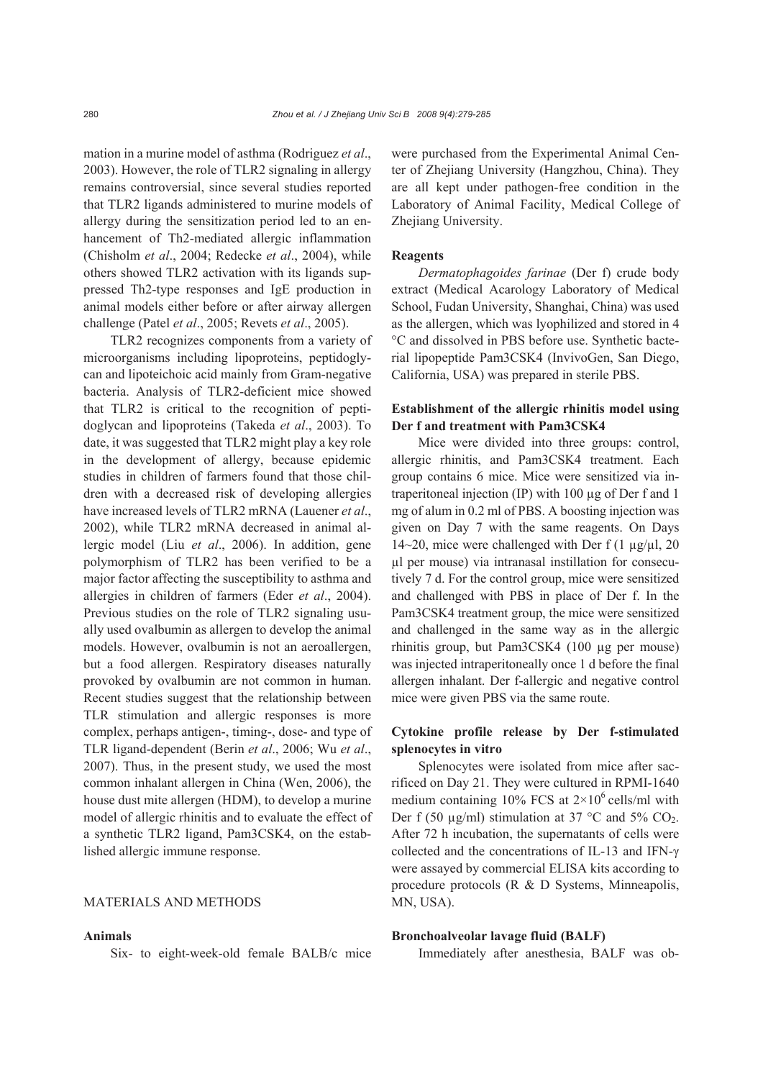mation in a murine model of asthma (Rodriguez *et al*., 2003). However, the role of TLR2 signaling in allergy remains controversial, since several studies reported that TLR2 ligands administered to murine models of allergy during the sensitization period led to an enhancement of Th2-mediated allergic inflammation (Chisholm *et al*., 2004; Redecke *et al*., 2004), while others showed TLR2 activation with its ligands suppressed Th2-type responses and IgE production in animal models either before or after airway allergen challenge (Patel *et al*., 2005; Revets *et al*., 2005).

TLR2 recognizes components from a variety of microorganisms including lipoproteins, peptidoglycan and lipoteichoic acid mainly from Gram-negative bacteria. Analysis of TLR2-deficient mice showed that TLR2 is critical to the recognition of peptidoglycan and lipoproteins (Takeda *et al*., 2003). To date, it was suggested that TLR2 might play a key role in the development of allergy, because epidemic studies in children of farmers found that those children with a decreased risk of developing allergies have increased levels of TLR2 mRNA (Lauener *et al*., 2002), while TLR2 mRNA decreased in animal allergic model (Liu *et al*., 2006). In addition, gene polymorphism of TLR2 has been verified to be a major factor affecting the susceptibility to asthma and allergies in children of farmers (Eder *et al*., 2004). Previous studies on the role of TLR2 signaling usually used ovalbumin as allergen to develop the animal models. However, ovalbumin is not an aeroallergen, but a food allergen. Respiratory diseases naturally provoked by ovalbumin are not common in human. Recent studies suggest that the relationship between TLR stimulation and allergic responses is more complex, perhaps antigen-, timing-, dose- and type of TLR ligand-dependent (Berin *et al*., 2006; Wu *et al*., 2007). Thus, in the present study, we used the most common inhalant allergen in China (Wen, 2006), the house dust mite allergen (HDM), to develop a murine model of allergic rhinitis and to evaluate the effect of a synthetic TLR2 ligand, Pam3CSK4, on the established allergic immune response.

#### MATERIALS AND METHODS

## **Animals**

Six- to eight-week-old female BALB/c mice

were purchased from the Experimental Animal Center of Zhejiang University (Hangzhou, China). They are all kept under pathogen-free condition in the Laboratory of Animal Facility, Medical College of Zhejiang University.

#### **Reagents**

*Dermatophagoides farinae* (Der f) crude body extract (Medical Acarology Laboratory of Medical School, Fudan University, Shanghai, China) was used as the allergen, which was lyophilized and stored in 4 °C and dissolved in PBS before use. Synthetic bacterial lipopeptide Pam3CSK4 (InvivoGen, San Diego, California, USA) was prepared in sterile PBS.

## **Establishment of the allergic rhinitis model using Der f and treatment with Pam3CSK4**

Mice were divided into three groups: control, allergic rhinitis, and Pam3CSK4 treatment. Each group contains 6 mice. Mice were sensitized via intraperitoneal injection (IP) with 100 µg of Der f and 1 mg of alum in 0.2 ml of PBS. A boosting injection was given on Day 7 with the same reagents. On Days 14~20, mice were challenged with Der f  $(1 \mu g/\mu l, 20$ µl per mouse) via intranasal instillation for consecutively 7 d. For the control group, mice were sensitized and challenged with PBS in place of Der f. In the Pam3CSK4 treatment group, the mice were sensitized and challenged in the same way as in the allergic rhinitis group, but Pam3CSK4 (100 µg per mouse) was injected intraperitoneally once 1 d before the final allergen inhalant. Der f-allergic and negative control mice were given PBS via the same route.

## **Cytokine profile release by Der f-stimulated splenocytes in vitro**

Splenocytes were isolated from mice after sacrificed on Day 21. They were cultured in RPMI-1640 medium containing 10% FCS at  $2\times10^6$  cells/ml with Der f (50  $\mu$ g/ml) stimulation at 37 °C and 5% CO<sub>2</sub>. After 72 h incubation, the supernatants of cells were collected and the concentrations of IL-13 and IFN-γ were assayed by commercial ELISA kits according to procedure protocols (R & D Systems, Minneapolis, MN, USA).

## **Bronchoalveolar lavage fluid (BALF)**

Immediately after anesthesia, BALF was ob-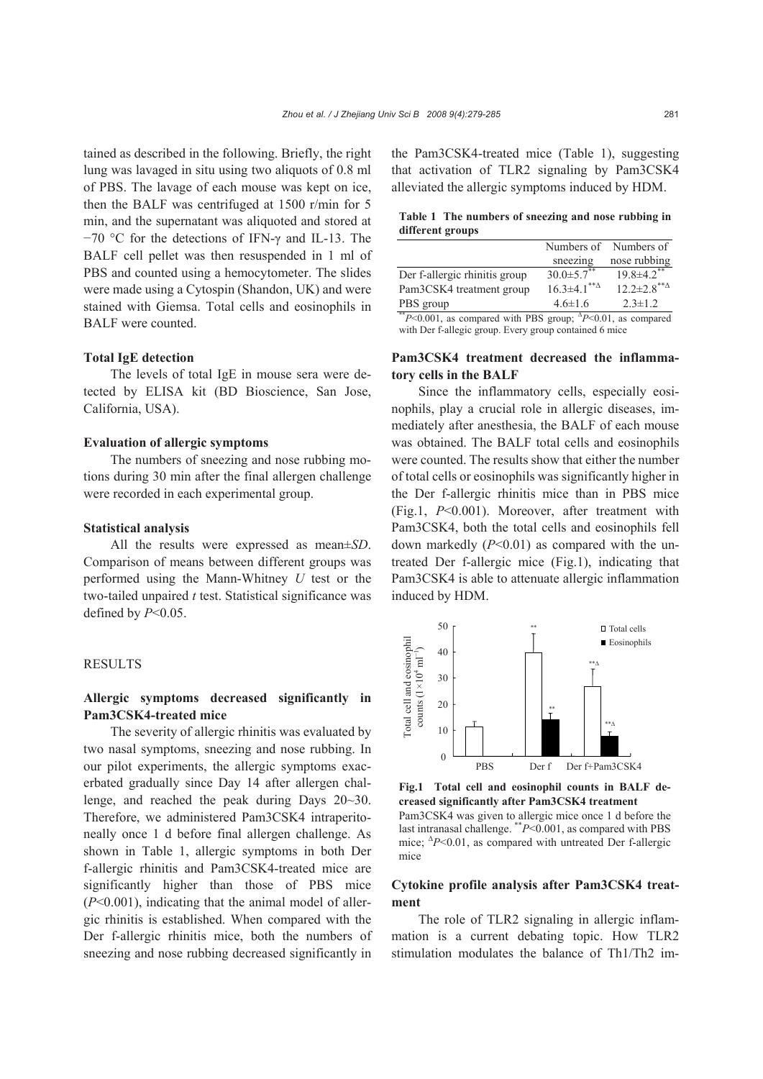tained as described in the following. Briefly, the right lung was lavaged in situ using two aliquots of 0.8 ml of PBS. The lavage of each mouse was kept on ice, then the BALF was centrifuged at 1500 r/min for 5 min, and the supernatant was aliquoted and stored at −70 °C for the detections of IFN-γ and IL-13. The BALF cell pellet was then resuspended in 1 ml of PBS and counted using a hemocytometer. The slides were made using a Cytospin (Shandon, UK) and were stained with Giemsa. Total cells and eosinophils in BALF were counted.

## **Total IgE detection**

The levels of total IgE in mouse sera were detected by ELISA kit (BD Bioscience, San Jose, California, USA).

#### **Evaluation of allergic symptoms**

The numbers of sneezing and nose rubbing motions during 30 min after the final allergen challenge were recorded in each experimental group.

#### **Statistical analysis**

All the results were expressed as mean±*SD*. Comparison of means between different groups was performed using the Mann-Whitney *U* test or the two-tailed unpaired *t* test. Statistical significance was defined by *P*<0.05.

#### RESULTS

# **Allergic symptoms decreased significantly in Pam3CSK4-treated mice**

The severity of allergic rhinitis was evaluated by two nasal symptoms, sneezing and nose rubbing. In our pilot experiments, the allergic symptoms exacerbated gradually since Day 14 after allergen challenge, and reached the peak during Days 20~30. Therefore, we administered Pam3CSK4 intraperitoneally once 1 d before final allergen challenge. As shown in Table 1, allergic symptoms in both Der f-allergic rhinitis and Pam3CSK4-treated mice are significantly higher than those of PBS mice (*P*<0.001), indicating that the animal model of allergic rhinitis is established. When compared with the Der f-allergic rhinitis mice, both the numbers of sneezing and nose rubbing decreased significantly in the Pam3CSK4-treated mice (Table 1), suggesting that activation of TLR2 signaling by Pam3CSK4 alleviated the allergic symptoms induced by HDM.

**Table 1 The numbers of sneezing and nose rubbing in different groups**

|                               |                                                 | Numbers of Numbers of        |
|-------------------------------|-------------------------------------------------|------------------------------|
|                               | sneezing                                        | nose rubbing                 |
| Der f-allergic rhinitis group | $30.0 \pm 5.7$                                  | $19.8 \pm 4.2$ **            |
| Pam3CSK4 treatment group      | $16.3 \pm 4.1$ <sup>**<math>\Delta</math></sup> | $12.2 \pm 2.8$ <sup>**</sup> |
| PBS group                     | $4.6 \pm 1.6$                                   | $2.3 \pm 1.2$                |
| $\cdots$ nn $\alpha$          | $\Lambda$ m $\Lambda$ $\Lambda$ $\Lambda$       |                              |

\*\**P*<0.001, as compared with PBS group; <sup>Δ</sup> *P*<0.01, as compared with Der f-allegic group. Every group contained 6 mice

# **Pam3CSK4 treatment decreased the inflammatory cells in the BALF**

Since the inflammatory cells, especially eosinophils, play a crucial role in allergic diseases, immediately after anesthesia, the BALF of each mouse was obtained. The BALF total cells and eosinophils were counted. The results show that either the number of total cells or eosinophils was significantly higher in the Der f-allergic rhinitis mice than in PBS mice (Fig.1, *P*<0.001). Moreover, after treatment with Pam3CSK4, both the total cells and eosinophils fell down markedly (*P*<0.01) as compared with the untreated Der f-allergic mice (Fig.1), indicating that Pam3CSK4 is able to attenuate allergic inflammation induced by HDM.



**Fig.1 Total cell and eosinophil counts in BALF decreased significantly after Pam3CSK4 treatment**  Pam3CSK4 was given to allergic mice once 1 d before the last intranasal challenge. \*\**P*<0.001, as compared with PBS mice; <sup>∆</sup>P<0.01, as compared with untreated Der f-allergic mice

### **Cytokine profile analysis after Pam3CSK4 treatment**

The role of TLR2 signaling in allergic inflammation is a current debating topic. How TLR2 stimulation modulates the balance of Th1/Th2 im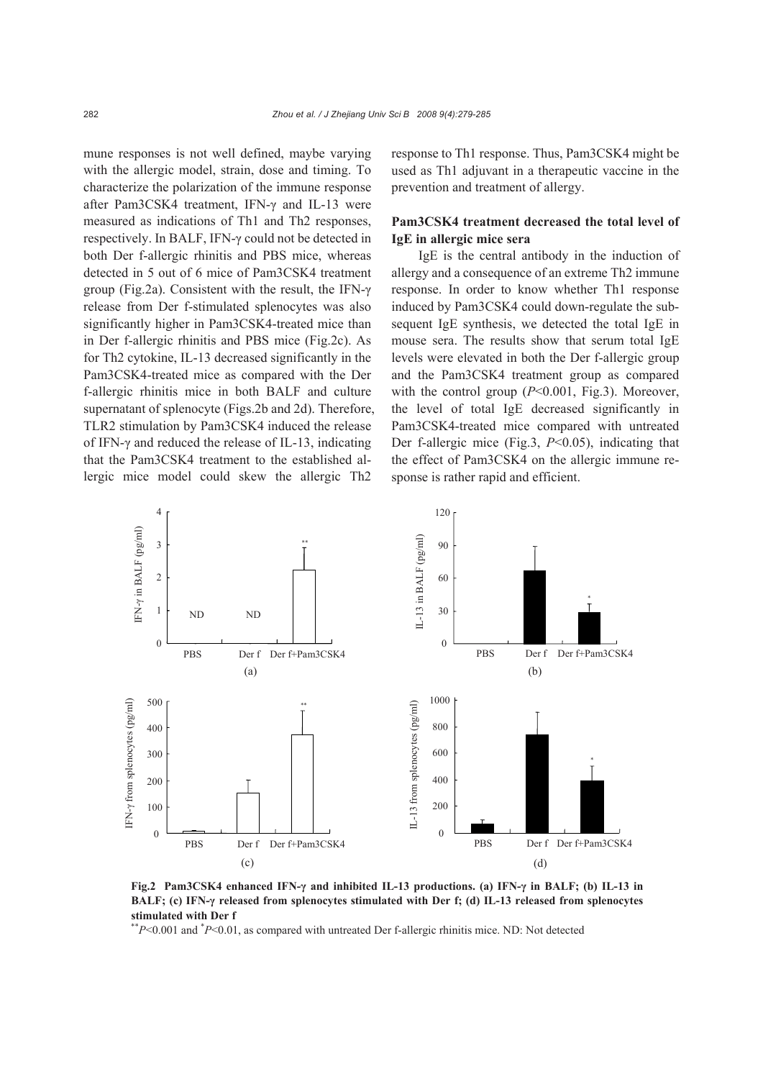mune responses is not well defined, maybe varying with the allergic model, strain, dose and timing. To characterize the polarization of the immune response after Pam3CSK4 treatment, IFN-γ and IL-13 were measured as indications of Th1 and Th2 responses, respectively. In BALF, IFN-γ could not be detected in both Der f-allergic rhinitis and PBS mice, whereas detected in 5 out of 6 mice of Pam3CSK4 treatment group (Fig.2a). Consistent with the result, the IFN-γ release from Der f-stimulated splenocytes was also significantly higher in Pam3CSK4-treated mice than in Der f-allergic rhinitis and PBS mice (Fig.2c). As for Th2 cytokine, IL-13 decreased significantly in the Pam3CSK4-treated mice as compared with the Der f-allergic rhinitis mice in both BALF and culture supernatant of splenocyte (Figs.2b and 2d). Therefore, TLR2 stimulation by Pam3CSK4 induced the release of IFN-γ and reduced the release of IL-13, indicating that the Pam3CSK4 treatment to the established allergic mice model could skew the allergic Th2

response to Th1 response. Thus, Pam3CSK4 might be used as Th1 adjuvant in a therapeutic vaccine in the prevention and treatment of allergy.

## **Pam3CSK4 treatment decreased the total level of IgE in allergic mice sera**

IgE is the central antibody in the induction of allergy and a consequence of an extreme Th2 immune response. In order to know whether Th1 response induced by Pam3CSK4 could down-regulate the subsequent IgE synthesis, we detected the total IgE in mouse sera. The results show that serum total IgE levels were elevated in both the Der f-allergic group and the Pam3CSK4 treatment group as compared with the control group ( $P<0.001$ , Fig.3). Moreover, the level of total IgE decreased significantly in Pam3CSK4-treated mice compared with untreated Der f-allergic mice (Fig.3, *P*<0.05), indicating that the effect of Pam3CSK4 on the allergic immune response is rather rapid and efficient.



**Fig.2 Pam3CSK4 enhanced IFN-γ and inhibited IL-13 productions. (a) IFN-γ in BALF; (b) IL-13 in BALF; (c) IFN-γ released from splenocytes stimulated with Der f; (d) IL-13 released from splenocytes stimulated with Der f** 

\*\**P*<0.001 and \* *P*<0.01, as compared with untreated Der f-allergic rhinitis mice. ND: Not detected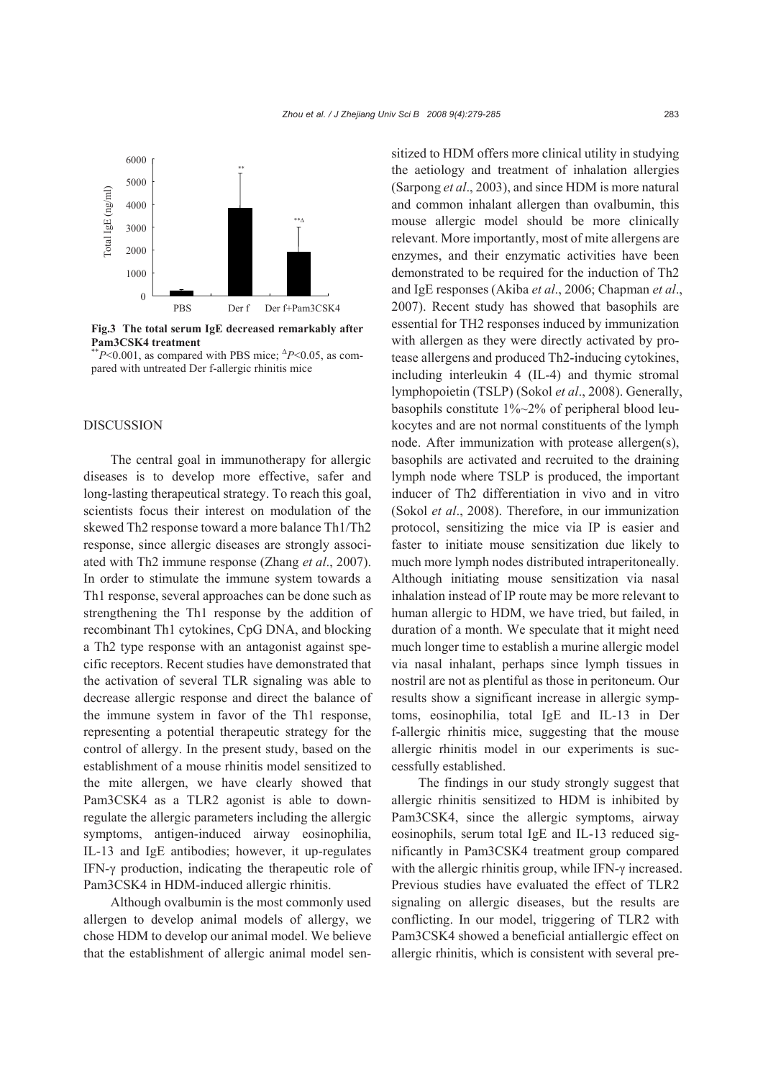

**Fig.3 The total serum IgE decreased remarkably after Pam3CSK4 treatment** 

\*\**P*<0.001, as compared with PBS mice; <sup>∆</sup> *P*<0.05, as compared with untreated Der f-allergic rhinitis mice

#### DISCUSSION

The central goal in immunotherapy for allergic diseases is to develop more effective, safer and long-lasting therapeutical strategy. To reach this goal, scientists focus their interest on modulation of the skewed Th2 response toward a more balance Th1/Th2 response, since allergic diseases are strongly associated with Th2 immune response (Zhang *et al*., 2007). In order to stimulate the immune system towards a Th1 response, several approaches can be done such as strengthening the Th1 response by the addition of recombinant Th1 cytokines, CpG DNA, and blocking a Th2 type response with an antagonist against specific receptors. Recent studies have demonstrated that the activation of several TLR signaling was able to decrease allergic response and direct the balance of the immune system in favor of the Th1 response, representing a potential therapeutic strategy for the control of allergy. In the present study, based on the establishment of a mouse rhinitis model sensitized to the mite allergen, we have clearly showed that Pam3CSK4 as a TLR2 agonist is able to downregulate the allergic parameters including the allergic symptoms, antigen-induced airway eosinophilia, IL-13 and IgE antibodies; however, it up-regulates IFN-γ production, indicating the therapeutic role of Pam3CSK4 in HDM-induced allergic rhinitis.

Although ovalbumin is the most commonly used allergen to develop animal models of allergy, we chose HDM to develop our animal model. We believe that the establishment of allergic animal model sensitized to HDM offers more clinical utility in studying the aetiology and treatment of inhalation allergies (Sarpong *et al*., 2003), and since HDM is more natural and common inhalant allergen than ovalbumin, this mouse allergic model should be more clinically relevant. More importantly, most of mite allergens are enzymes, and their enzymatic activities have been demonstrated to be required for the induction of Th2 and IgE responses (Akiba *et al*., 2006; Chapman *et al*., 2007). Recent study has showed that basophils are essential for TH2 responses induced by immunization with allergen as they were directly activated by protease allergens and produced Th2-inducing cytokines, including interleukin 4 (IL-4) and thymic stromal lymphopoietin (TSLP) (Sokol *et al*., 2008). Generally, basophils constitute 1%~2% of peripheral blood leukocytes and are not normal constituents of the lymph node. After immunization with protease allergen(s), basophils are activated and recruited to the draining lymph node where TSLP is produced, the important inducer of Th2 differentiation in vivo and in vitro (Sokol *et al*., 2008). Therefore, in our immunization protocol, sensitizing the mice via IP is easier and faster to initiate mouse sensitization due likely to much more lymph nodes distributed intraperitoneally. Although initiating mouse sensitization via nasal inhalation instead of IP route may be more relevant to human allergic to HDM, we have tried, but failed, in duration of a month. We speculate that it might need much longer time to establish a murine allergic model via nasal inhalant, perhaps since lymph tissues in nostril are not as plentiful as those in peritoneum. Our results show a significant increase in allergic symptoms, eosinophilia, total IgE and IL-13 in Der f-allergic rhinitis mice, suggesting that the mouse allergic rhinitis model in our experiments is successfully established.

The findings in our study strongly suggest that allergic rhinitis sensitized to HDM is inhibited by Pam3CSK4, since the allergic symptoms, airway eosinophils, serum total IgE and IL-13 reduced significantly in Pam3CSK4 treatment group compared with the allergic rhinitis group, while IFN-γ increased. Previous studies have evaluated the effect of TLR2 signaling on allergic diseases, but the results are conflicting. In our model, triggering of TLR2 with Pam3CSK4 showed a beneficial antiallergic effect on allergic rhinitis, which is consistent with several pre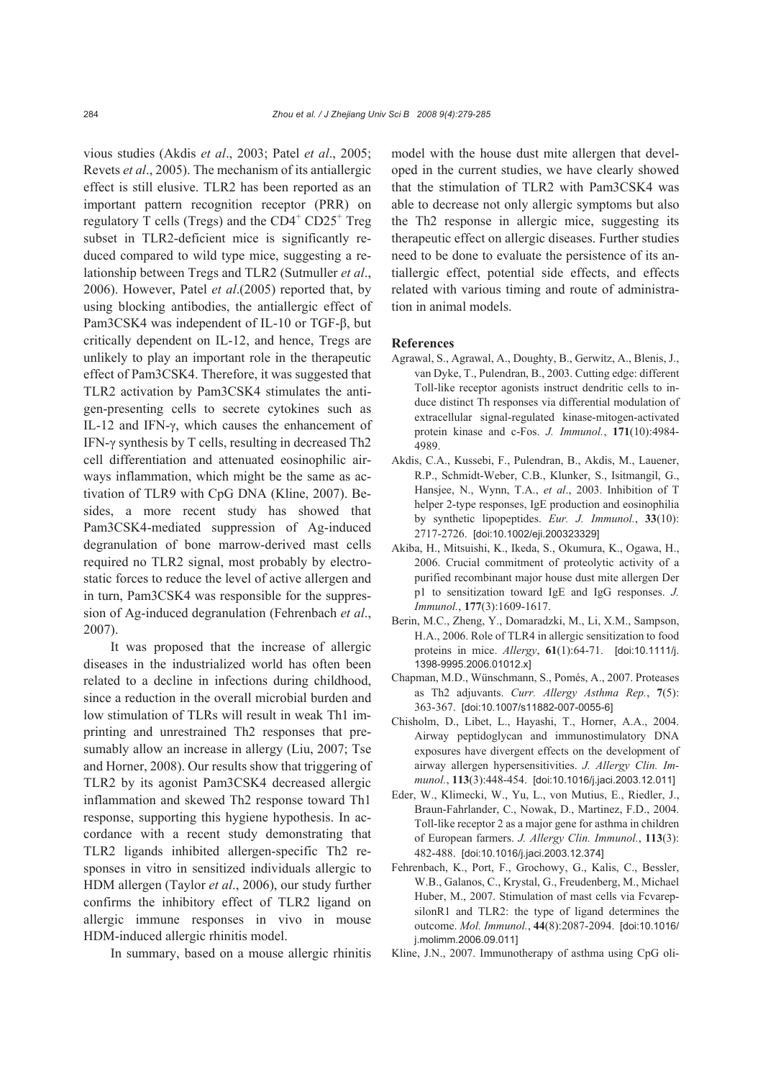vious studies (Akdis *et al*., 2003; Patel *et al*., 2005; Revets *et al*., 2005). The mechanism of its antiallergic effect is still elusive. TLR2 has been reported as an important pattern recognition receptor (PRR) on regulatory T cells (Tregs) and the  $CD4^+$   $CD25^+$  Treg subset in TLR2-deficient mice is significantly reduced compared to wild type mice, suggesting a relationship between Tregs and TLR2 (Sutmuller *et al*., 2006). However, Patel *et al*.(2005) reported that, by using blocking antibodies, the antiallergic effect of Pam3CSK4 was independent of IL-10 or TGF-β, but critically dependent on IL-12, and hence, Tregs are unlikely to play an important role in the therapeutic effect of Pam3CSK4. Therefore, it was suggested that TLR2 activation by Pam3CSK4 stimulates the antigen-presenting cells to secrete cytokines such as IL-12 and IFN-γ, which causes the enhancement of IFN-γ synthesis by T cells, resulting in decreased Th2 cell differentiation and attenuated eosinophilic airways inflammation, which might be the same as activation of TLR9 with CpG DNA (Kline, 2007). Besides, a more recent study has showed that Pam3CSK4-mediated suppression of Ag-induced degranulation of bone marrow-derived mast cells required no TLR2 signal, most probably by electrostatic forces to reduce the level of active allergen and in turn, Pam3CSK4 was responsible for the suppression of Ag-induced degranulation (Fehrenbach *et al*., 2007).

It was proposed that the increase of allergic diseases in the industrialized world has often been related to a decline in infections during childhood, since a reduction in the overall microbial burden and low stimulation of TLRs will result in weak Th1 imprinting and unrestrained Th2 responses that presumably allow an increase in allergy (Liu, 2007; Tse and Horner, 2008). Our results show that triggering of TLR2 by its agonist Pam3CSK4 decreased allergic inflammation and skewed Th2 response toward Th1 response, supporting this hygiene hypothesis. In accordance with a recent study demonstrating that TLR2 ligands inhibited allergen-specific Th2 responses in vitro in sensitized individuals allergic to HDM allergen (Taylor *et al*., 2006), our study further confirms the inhibitory effect of TLR2 ligand on allergic immune responses in vivo in mouse HDM-induced allergic rhinitis model.

In summary, based on a mouse allergic rhinitis

model with the house dust mite allergen that developed in the current studies, we have clearly showed that the stimulation of TLR2 with Pam3CSK4 was able to decrease not only allergic symptoms but also the Th2 response in allergic mice, suggesting its therapeutic effect on allergic diseases. Further studies need to be done to evaluate the persistence of its antiallergic effect, potential side effects, and effects related with various timing and route of administration in animal models.

#### **References**

- Agrawal, S., Agrawal, A., Doughty, B., Gerwitz, A., Blenis, J., van Dyke, T., Pulendran, B., 2003. Cutting edge: different Toll-like receptor agonists instruct dendritic cells to induce distinct Th responses via differential modulation of extracellular signal-regulated kinase-mitogen-activated protein kinase and c-Fos. *J. Immunol.*, **171**(10):4984- 4989.
- Akdis, C.A., Kussebi, F., Pulendran, B., Akdis, M., Lauener, R.P., Schmidt-Weber, C.B., Klunker, S., Isitmangil, G., Hansjee, N., Wynn, T.A., *et al*., 2003. Inhibition of T helper 2-type responses, IgE production and eosinophilia by synthetic lipopeptides. *Eur. J. Immunol.*, **33**(10): 2717-2726. [doi:10.1002/eji.200323329]
- Akiba, H., Mitsuishi, K., Ikeda, S., Okumura, K., Ogawa, H., 2006. Crucial commitment of proteolytic activity of a purified recombinant major house dust mite allergen Der p1 to sensitization toward IgE and IgG responses. *J. Immunol.*, **177**(3):1609-1617.
- Berin, M.C., Zheng, Y., Domaradzki, M., Li, X.M., Sampson, H.A., 2006. Role of TLR4 in allergic sensitization to food proteins in mice. *Allergy*, **61**(1):64-71. [doi:10.1111/j. 1398-9995.2006.01012.x]
- Chapman, M.D., Wünschmann, S., Pomés, A., 2007. Proteases as Th2 adjuvants. *Curr. Allergy Asthma Rep.*, **7**(5): 363-367. [doi:10.1007/s11882-007-0055-6]
- Chisholm, D., Libet, L., Hayashi, T., Horner, A.A., 2004. Airway peptidoglycan and immunostimulatory DNA exposures have divergent effects on the development of airway allergen hypersensitivities. *J. Allergy Clin. Immunol.*, **113**(3):448-454. [doi:10.1016/j.jaci.2003.12.011]
- Eder, W., Klimecki, W., Yu, L., von Mutius, E., Riedler, J., Braun-Fahrlander, C., Nowak, D., Martinez, F.D., 2004. Toll-like receptor 2 as a major gene for asthma in children of European farmers. *J. Allergy Clin. Immunol.*, **113**(3): 482-488. [doi:10.1016/j.jaci.2003.12.374]
- Fehrenbach, K., Port, F., Grochowy, G., Kalis, C., Bessler, W.B., Galanos, C., Krystal, G., Freudenberg, M., Michael Huber, M., 2007. Stimulation of mast cells via FcvarepsilonR1 and TLR2: the type of ligand determines the outcome. *Mol. Immunol.*, **44**(8):2087-2094. [doi:10.1016/ j.molimm.2006.09.011]
- Kline, J.N., 2007. Immunotherapy of asthma using CpG oli-